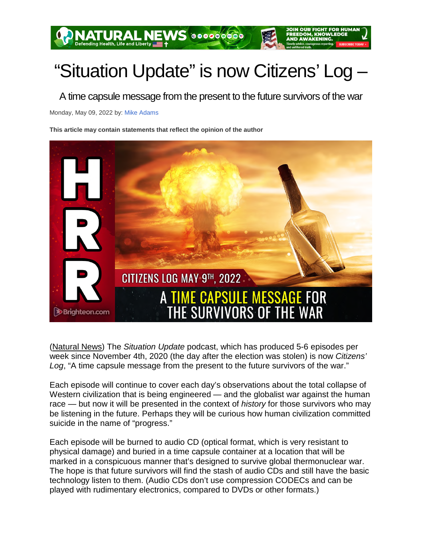## "Situation Update" is now Citizens' Log –

A time capsule message from the present to the future survivors of the war

Monday, May 09, 2022 by: Mike Adams

**This article may contain statements that reflect the opinion of the author** 



(Natural News) The *Situation Update* podcast, which has produced 5-6 episodes per week since November 4th, 2020 (the day after the election was stolen) is now *Citizens' Log*, "A time capsule message from the present to the future survivors of the war."

Each episode will continue to cover each day's observations about the total collapse of Western civilization that is being engineered — and the globalist war against the human race — but now it will be presented in the context of *history* for those survivors who may be listening in the future. Perhaps they will be curious how human civilization committed suicide in the name of "progress."

Each episode will be burned to audio CD (optical format, which is very resistant to physical damage) and buried in a time capsule container at a location that will be marked in a conspicuous manner that's designed to survive global thermonuclear war. The hope is that future survivors will find the stash of audio CDs and still have the basic technology listen to them. (Audio CDs don't use compression CODECs and can be played with rudimentary electronics, compared to DVDs or other formats.)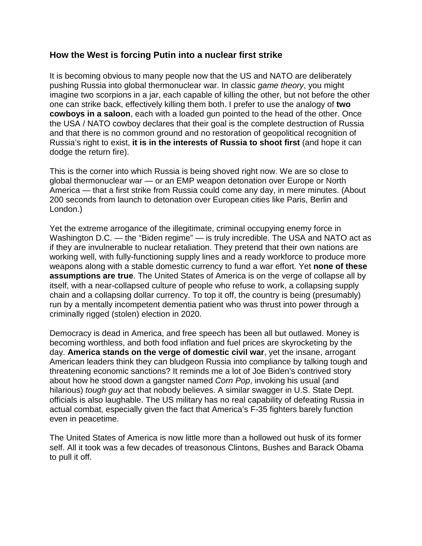## **How the West is forcing Putin into a nuclear first strike**

It is becoming obvious to many people now that the US and NATO are deliberately pushing Russia into global thermonuclear war. In classic *game theory*, you might imagine two scorpions in a jar, each capable of killing the other, but not before the other one can strike back, effectively killing them both. I prefer to use the analogy of **two cowboys in a saloon**, each with a loaded gun pointed to the head of the other. Once the USA / NATO cowboy declares that their goal is the complete destruction of Russia and that there is no common ground and no restoration of geopolitical recognition of Russia's right to exist, **it is in the interests of Russia to shoot first** (and hope it can dodge the return fire).

This is the corner into which Russia is being shoved right now. We are so close to global thermonuclear war — or an EMP weapon detonation over Europe or North America — that a first strike from Russia could come any day, in mere minutes. (About 200 seconds from launch to detonation over European cities like Paris, Berlin and London.)

Yet the extreme arrogance of the illegitimate, criminal occupying enemy force in Washington D.C. — the "Biden regime" — is truly incredible. The USA and NATO act as if they are invulnerable to nuclear retaliation. They pretend that their own nations are working well, with fully-functioning supply lines and a ready workforce to produce more weapons along with a stable domestic currency to fund a war effort. Yet **none of these assumptions are true**. The United States of America is on the verge of collapse all by itself, with a near-collapsed culture of people who refuse to work, a collapsing supply chain and a collapsing dollar currency. To top it off, the country is being (presumably) run by a mentally incompetent dementia patient who was thrust into power through a criminally rigged (stolen) election in 2020.

Democracy is dead in America, and free speech has been all but outlawed. Money is becoming worthless, and both food inflation and fuel prices are skyrocketing by the day. **America stands on the verge of domestic civil war**, yet the insane, arrogant American leaders think they can bludgeon Russia into compliance by talking tough and threatening economic sanctions? It reminds me a lot of Joe Biden's contrived story about how he stood down a gangster named *Corn Pop*, invoking his usual (and hilarious) *tough guy* act that nobody believes. A similar swagger in U.S. State Dept. officials is also laughable. The US military has no real capability of defeating Russia in actual combat, especially given the fact that America's F-35 fighters barely function even in peacetime.

The United States of America is now little more than a hollowed out husk of its former self. All it took was a few decades of treasonous Clintons, Bushes and Barack Obama to pull it off.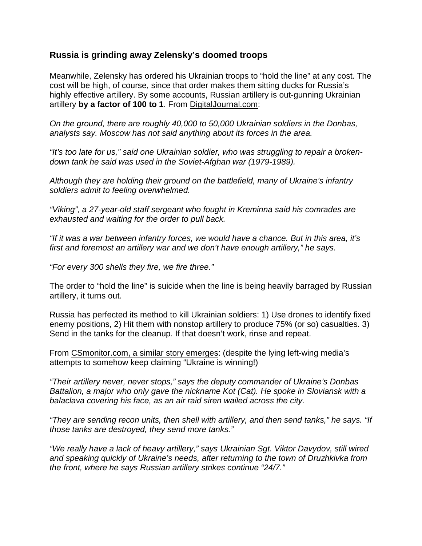## **Russia is grinding away Zelensky's doomed troops**

Meanwhile, Zelensky has ordered his Ukrainian troops to "hold the line" at any cost. The cost will be high, of course, since that order makes them sitting ducks for Russia's highly effective artillery. By some accounts, Russian artillery is out-gunning Ukrainian artillery **by a factor of 100 to 1**. From DigitalJournal.com:

*On the ground, there are roughly 40,000 to 50,000 Ukrainian soldiers in the Donbas, analysts say. Moscow has not said anything about its forces in the area.*

*"It's too late for us," said one Ukrainian soldier, who was struggling to repair a brokendown tank he said was used in the Soviet-Afghan war (1979-1989).*

*Although they are holding their ground on the battlefield, many of Ukraine's infantry soldiers admit to feeling overwhelmed.*

*"Viking", a 27-year-old staff sergeant who fought in Kreminna said his comrades are exhausted and waiting for the order to pull back.*

*"If it was a war between infantry forces, we would have a chance. But in this area, it's first and foremost an artillery war and we don't have enough artillery," he says.*

*"For every 300 shells they fire, we fire three."*

The order to "hold the line" is suicide when the line is being heavily barraged by Russian artillery, it turns out.

Russia has perfected its method to kill Ukrainian soldiers: 1) Use drones to identify fixed enemy positions, 2) Hit them with nonstop artillery to produce 75% (or so) casualties. 3) Send in the tanks for the cleanup. If that doesn't work, rinse and repeat.

From CSmonitor.com, a similar story emerges: (despite the lying left-wing media's attempts to somehow keep claiming "Ukraine is winning!)

*"Their artillery never, never stops," says the deputy commander of Ukraine's Donbas Battalion, a major who only gave the nickname Kot (Cat). He spoke in Sloviansk with a balaclava covering his face, as an air raid siren wailed across the city.*

*"They are sending recon units, then shell with artillery, and then send tanks," he says. "If those tanks are destroyed, they send more tanks."*

*"We really have a lack of heavy artillery," says Ukrainian Sgt. Viktor Davydov, still wired and speaking quickly of Ukraine's needs, after returning to the town of Druzhkivka from the front, where he says Russian artillery strikes continue "24/7."*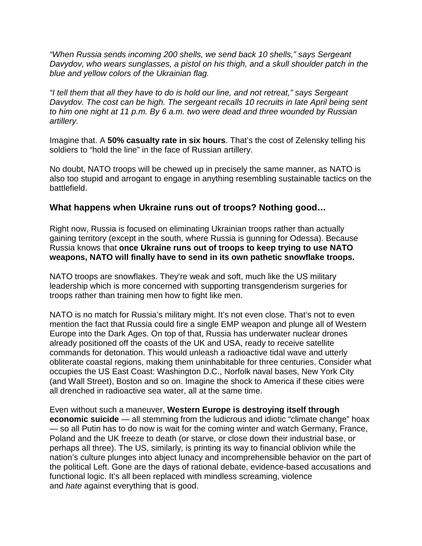*"When Russia sends incoming 200 shells, we send back 10 shells," says Sergeant Davydov, who wears sunglasses, a pistol on his thigh, and a skull shoulder patch in the blue and yellow colors of the Ukrainian flag.*

*"I tell them that all they have to do is hold our line, and not retreat," says Sergeant Davydov. The cost can be high. The sergeant recalls 10 recruits in late April being sent to him one night at 11 p.m. By 6 a.m. two were dead and three wounded by Russian artillery.*

Imagine that. A **50% casualty rate in six hours**. That's the cost of Zelensky telling his soldiers to "hold the line" in the face of Russian artillery.

No doubt, NATO troops will be chewed up in precisely the same manner, as NATO is also too stupid and arrogant to engage in anything resembling sustainable tactics on the battlefield.

## **What happens when Ukraine runs out of troops? Nothing good…**

Right now, Russia is focused on eliminating Ukrainian troops rather than actually gaining territory (except in the south, where Russia is gunning for Odessa). Because Russia knows that **once Ukraine runs out of troops to keep trying to use NATO weapons, NATO will finally have to send in its own pathetic snowflake troops.**

NATO troops are snowflakes. They're weak and soft, much like the US military leadership which is more concerned with supporting transgenderism surgeries for troops rather than training men how to fight like men.

NATO is no match for Russia's military might. It's not even close. That's not to even mention the fact that Russia could fire a single EMP weapon and plunge all of Western Europe into the Dark Ages. On top of that, Russia has underwater nuclear drones already positioned off the coasts of the UK and USA, ready to receive satellite commands for detonation. This would unleash a radioactive tidal wave and utterly obliterate coastal regions, making them uninhabitable for three centuries. Consider what occupies the US East Coast: Washington D.C., Norfolk naval bases, New York City (and Wall Street), Boston and so on. Imagine the shock to America if these cities were all drenched in radioactive sea water, all at the same time.

Even without such a maneuver, **Western Europe is destroying itself through economic suicide** — all stemming from the ludicrous and idiotic "climate change" hoax — so all Putin has to do now is wait for the coming winter and watch Germany, France, Poland and the UK freeze to death (or starve, or close down their industrial base, or perhaps all three). The US, similarly, is printing its way to financial oblivion while the nation's culture plunges into abject lunacy and incomprehensible behavior on the part of the political Left. Gone are the days of rational debate, evidence-based accusations and functional logic. It's all been replaced with mindless screaming, violence and *hate* against everything that is good.